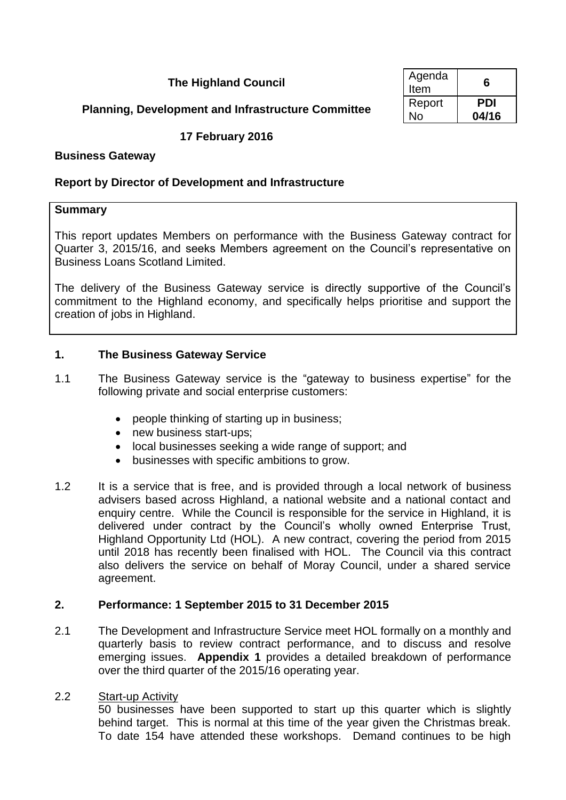**The Highland Council** 

| Agenda<br>Item | 6     |
|----------------|-------|
| Report         | PDI   |
| No             | 04/16 |

## **Planning, Development and Infrastructure Committee**

## **17 February 2016**

### **Business Gateway**

### **Report by Director of Development and Infrastructure**

### **Summary**

This report updates Members on performance with the Business Gateway contract for Quarter 3, 2015/16, and seeks Members agreement on the Council's representative on Business Loans Scotland Limited.

The delivery of the Business Gateway service is directly supportive of the Council's commitment to the Highland economy, and specifically helps prioritise and support the creation of jobs in Highland.

### **1. The Business Gateway Service**

- 1.1 The Business Gateway service is the "gateway to business expertise" for the following private and social enterprise customers:
	- people thinking of starting up in business;
	- new business start-ups:
	- local businesses seeking a wide range of support; and
	- businesses with specific ambitions to grow.
- 1.2 It is a service that is free, and is provided through a local network of business advisers based across Highland, a national website and a national contact and enquiry centre. While the Council is responsible for the service in Highland, it is delivered under contract by the Council's wholly owned Enterprise Trust, Highland Opportunity Ltd (HOL). A new contract, covering the period from 2015 until 2018 has recently been finalised with HOL. The Council via this contract also delivers the service on behalf of Moray Council, under a shared service agreement.

## **2. Performance: 1 September 2015 to 31 December 2015**

2.1 The Development and Infrastructure Service meet HOL formally on a monthly and quarterly basis to review contract performance, and to discuss and resolve emerging issues. **Appendix 1** provides a detailed breakdown of performance over the third quarter of the 2015/16 operating year.

### 2.2 Start-up Activity

50 businesses have been supported to start up this quarter which is slightly behind target. This is normal at this time of the year given the Christmas break. To date 154 have attended these workshops. Demand continues to be high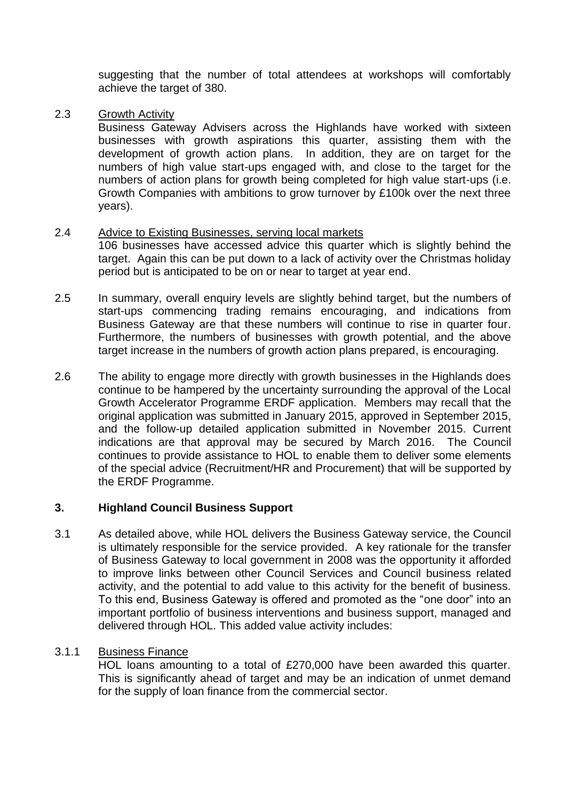suggesting that the number of total attendees at workshops will comfortably achieve the target of 380.

## 2.3 Growth Activity

Business Gateway Advisers across the Highlands have worked with sixteen businesses with growth aspirations this quarter, assisting them with the development of growth action plans. In addition, they are on target for the numbers of high value start-ups engaged with, and close to the target for the numbers of action plans for growth being completed for high value start-ups (i.e. Growth Companies with ambitions to grow turnover by £100k over the next three years).

## 2.4 Advice to Existing Businesses, serving local markets

106 businesses have accessed advice this quarter which is slightly behind the target. Again this can be put down to a lack of activity over the Christmas holiday period but is anticipated to be on or near to target at year end.

- 2.5 In summary, overall enquiry levels are slightly behind target, but the numbers of start-ups commencing trading remains encouraging, and indications from Business Gateway are that these numbers will continue to rise in quarter four. Furthermore, the numbers of businesses with growth potential, and the above target increase in the numbers of growth action plans prepared, is encouraging.
- 2.6 The ability to engage more directly with growth businesses in the Highlands does continue to be hampered by the uncertainty surrounding the approval of the Local Growth Accelerator Programme ERDF application. Members may recall that the original application was submitted in January 2015, approved in September 2015, and the follow-up detailed application submitted in November 2015. Current indications are that approval may be secured by March 2016. The Council continues to provide assistance to HOL to enable them to deliver some elements of the special advice (Recruitment/HR and Procurement) that will be supported by the ERDF Programme.

## **3. Highland Council Business Support**

3.1 As detailed above, while HOL delivers the Business Gateway service, the Council is ultimately responsible for the service provided. A key rationale for the transfer of Business Gateway to local government in 2008 was the opportunity it afforded to improve links between other Council Services and Council business related activity, and the potential to add value to this activity for the benefit of business. To this end, Business Gateway is offered and promoted as the "one door" into an important portfolio of business interventions and business support, managed and delivered through HOL. This added value activity includes:

## 3.1.1 Business Finance

HOL loans amounting to a total of £270,000 have been awarded this quarter. This is significantly ahead of target and may be an indication of unmet demand for the supply of loan finance from the commercial sector.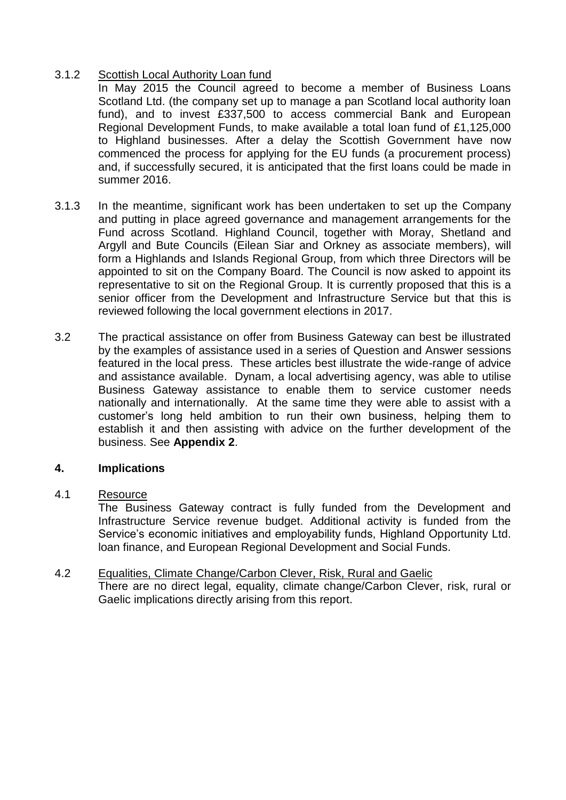## 3.1.2 Scottish Local Authority Loan fund

In May 2015 the Council agreed to become a member of Business Loans Scotland Ltd. (the company set up to manage a pan Scotland local authority loan fund), and to invest £337,500 to access commercial Bank and European Regional Development Funds, to make available a total loan fund of £1,125,000 to Highland businesses. After a delay the Scottish Government have now commenced the process for applying for the EU funds (a procurement process) and, if successfully secured, it is anticipated that the first loans could be made in summer 2016.

- 3.1.3 In the meantime, significant work has been undertaken to set up the Company and putting in place agreed governance and management arrangements for the Fund across Scotland. Highland Council, together with Moray, Shetland and Argyll and Bute Councils (Eilean Siar and Orkney as associate members), will form a Highlands and Islands Regional Group, from which three Directors will be appointed to sit on the Company Board. The Council is now asked to appoint its representative to sit on the Regional Group. It is currently proposed that this is a senior officer from the Development and Infrastructure Service but that this is reviewed following the local government elections in 2017.
- 3.2 The practical assistance on offer from Business Gateway can best be illustrated by the examples of assistance used in a series of Question and Answer sessions featured in the local press. These articles best illustrate the wide-range of advice and assistance available. Dynam, a local advertising agency, was able to utilise Business Gateway assistance to enable them to service customer needs nationally and internationally. At the same time they were able to assist with a customer's long held ambition to run their own business, helping them to establish it and then assisting with advice on the further development of the business. See **Appendix 2**.

## **4. Implications**

### 4.1 Resource

The Business Gateway contract is fully funded from the Development and Infrastructure Service revenue budget. Additional activity is funded from the Service's economic initiatives and employability funds, Highland Opportunity Ltd. loan finance, and European Regional Development and Social Funds.

## 4.2 Equalities, Climate Change/Carbon Clever, Risk, Rural and Gaelic

There are no direct legal, equality, climate change/Carbon Clever, risk, rural or Gaelic implications directly arising from this report.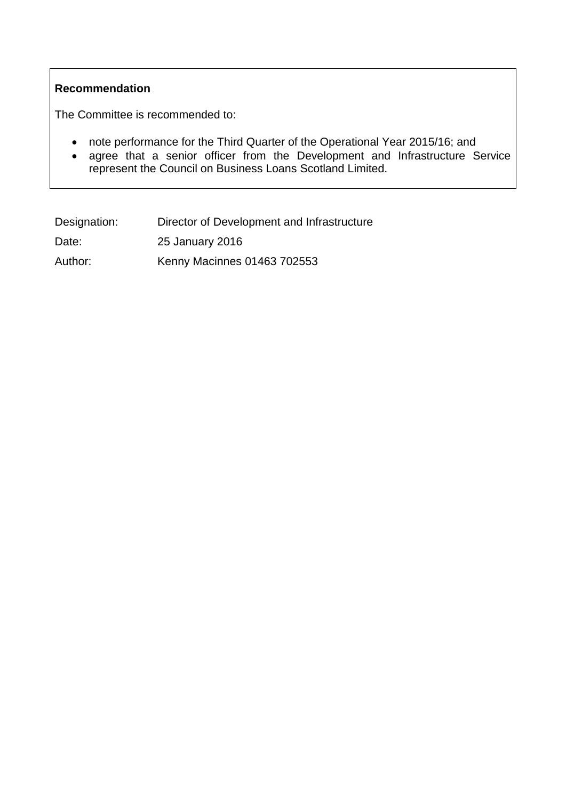## **Recommendation**

The Committee is recommended to:

- note performance for the Third Quarter of the Operational Year 2015/16; and
- agree that a senior officer from the Development and Infrastructure Service represent the Council on Business Loans Scotland Limited.

| Designation: | Director of Development and Infrastructure |
|--------------|--------------------------------------------|
| Date:        | 25 January 2016                            |
| Author:      | Kenny Macinnes 01463 702553                |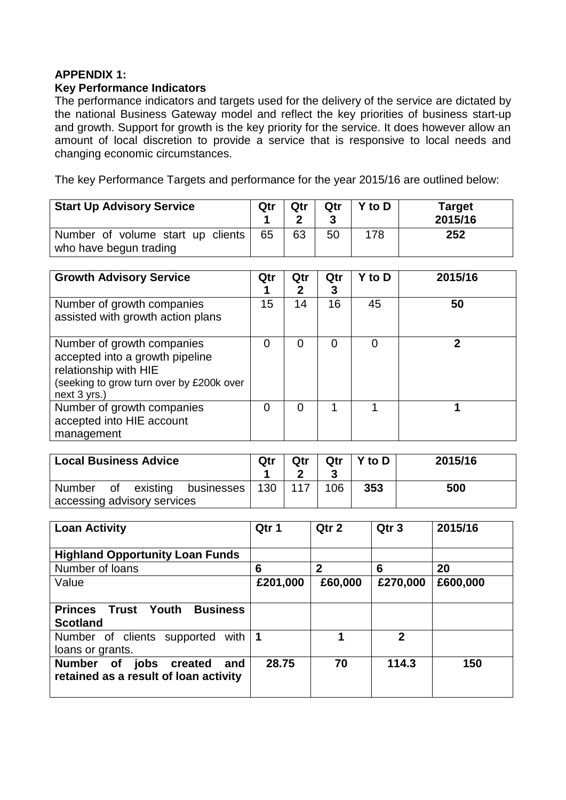# **APPENDIX 1:**

### **Key Performance Indicators**

The performance indicators and targets used for the delivery of the service are dictated by the national Business Gateway model and reflect the key priorities of business start-up and growth. Support for growth is the key priority for the service. It does however allow an amount of local discretion to provide a service that is responsive to local needs and changing economic circumstances.

The key Performance Targets and performance for the year 2015/16 are outlined below:

| <b>Start Up Advisory Service</b>                            | Qtr | Qtr | Qtr | Y to D | <b>Target</b><br>2015/16 |
|-------------------------------------------------------------|-----|-----|-----|--------|--------------------------|
| Number of volume start up clients<br>who have begun trading | 65  | 63  | 50  | 178    | 252                      |

| <b>Growth Advisory Service</b>                                                                                                                        | Qtr | Qtr<br>2 | Qtr<br>3 | Y to D | 2015/16 |
|-------------------------------------------------------------------------------------------------------------------------------------------------------|-----|----------|----------|--------|---------|
| Number of growth companies<br>assisted with growth action plans                                                                                       | 15  | 14       | 16       | 45     | 50      |
| Number of growth companies<br>accepted into a growth pipeline<br>relationship with HIE<br>(seeking to grow turn over by £200k over<br>$next 3 yrs.$ ) | 0   | 0        | ი        | ი      |         |
| Number of growth companies<br>accepted into HIE account<br>management                                                                                 | 0   | 0        |          |        |         |

| <b>Local Business Advice</b>  | Qtr | Qtr | Qtr | $Y$ to $D$ | 2015/16 |
|-------------------------------|-----|-----|-----|------------|---------|
| Number of existing businesses | 130 | 117 | 106 | 353        | 500     |
| accessing advisory services   |     |     |     |            |         |

| <b>Loan Activity</b>                                                                          | Qtr 1    | Qtr 2        | Qtr <sub>3</sub> | 2015/16  |
|-----------------------------------------------------------------------------------------------|----------|--------------|------------------|----------|
| <b>Highland Opportunity Loan Funds</b>                                                        |          |              |                  |          |
| Number of loans                                                                               | 6        | $\mathbf{2}$ | 6                | 20       |
| Value                                                                                         | £201,000 | £60,000      | £270,000         | £600,000 |
|                                                                                               |          |              |                  |          |
| <b>Business</b><br><b>Princes</b><br>Trust<br>Youth                                           |          |              |                  |          |
| <b>Scotland</b>                                                                               |          |              |                  |          |
| Number of clients supported<br>with                                                           | 1        | 4            | $\mathbf{2}$     |          |
| loans or grants.                                                                              |          |              |                  |          |
| <b>Number</b><br>jobs<br><b>of</b><br>created<br>and<br>retained as a result of loan activity | 28.75    | 70           | 114.3            | 150      |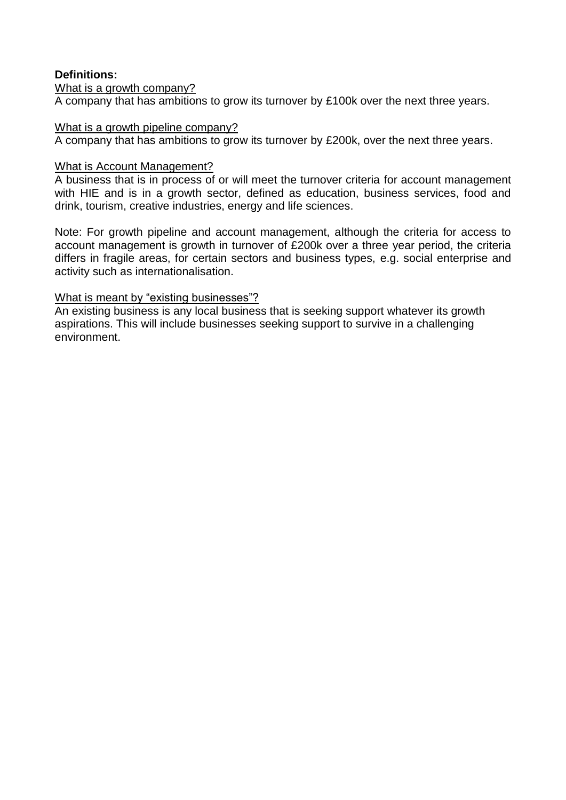## **Definitions:**

### What is a growth company?

A company that has ambitions to grow its turnover by £100k over the next three years.

### What is a growth pipeline company?

A company that has ambitions to grow its turnover by £200k, over the next three years.

### What is Account Management?

A business that is in process of or will meet the turnover criteria for account management with HIE and is in a growth sector, defined as education, business services, food and drink, tourism, creative industries, energy and life sciences.

Note: For growth pipeline and account management, although the criteria for access to account management is growth in turnover of £200k over a three year period, the criteria differs in fragile areas, for certain sectors and business types, e.g. social enterprise and activity such as internationalisation.

### What is meant by "existing businesses"?

An existing business is any local business that is seeking support whatever its growth aspirations. This will include businesses seeking support to survive in a challenging environment.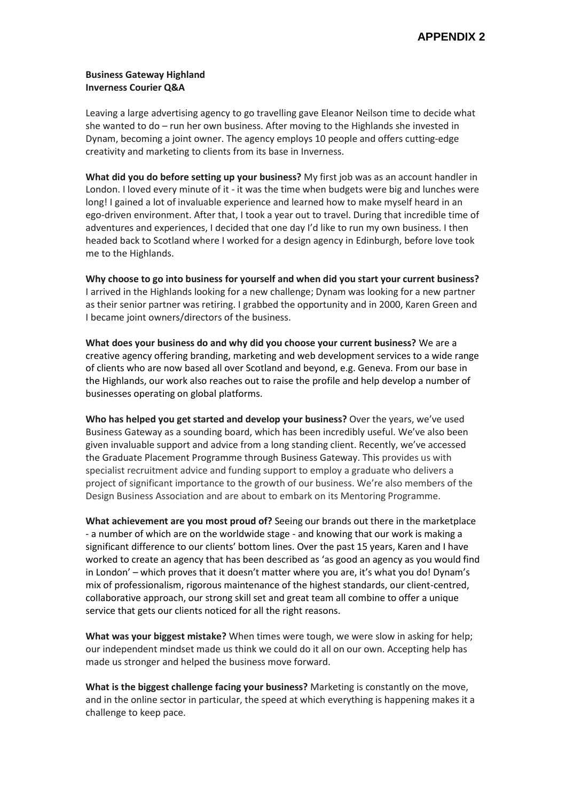#### **Business Gateway Highland Inverness Courier Q&A**

Leaving a large advertising agency to go travelling gave Eleanor Neilson time to decide what she wanted to do – run her own business. After moving to the Highlands she invested in Dynam, becoming a joint owner. The agency employs 10 people and offers cutting-edge creativity and marketing to clients from its base in Inverness.

**What did you do before setting up your business?** My first job was as an account handler in London. I loved every minute of it - it was the time when budgets were big and lunches were long! I gained a lot of invaluable experience and learned how to make myself heard in an ego-driven environment. After that, I took a year out to travel. During that incredible time of adventures and experiences, I decided that one day I'd like to run my own business. I then headed back to Scotland where I worked for a design agency in Edinburgh, before love took me to the Highlands.

**Why choose to go into business for yourself and when did you start your current business?** I arrived in the Highlands looking for a new challenge; Dynam was looking for a new partner as their senior partner was retiring. I grabbed the opportunity and in 2000, Karen Green and I became joint owners/directors of the business.

**What does your business do and why did you choose your current business?** We are a creative agency offering branding, marketing and web development services to a wide range of clients who are now based all over Scotland and beyond, e.g. Geneva. From our base in the Highlands, our work also reaches out to raise the profile and help develop a number of businesses operating on global platforms.

**Who has helped you get started and develop your business?** Over the years, we've used Business Gateway as a sounding board, which has been incredibly useful. We've also been given invaluable support and advice from a long standing client. Recently, we've accessed the Graduate Placement Programme through Business Gateway. This provides us with specialist recruitment advice and funding support to employ a graduate who delivers a project of significant importance to the growth of our business. We're also members of the Design Business Association and are about to embark on its Mentoring Programme.

**What achievement are you most proud of?** Seeing our brands out there in the marketplace - a number of which are on the worldwide stage - and knowing that our work is making a significant difference to our clients' bottom lines. Over the past 15 years, Karen and I have worked to create an agency that has been described as 'as good an agency as you would find in London' – which proves that it doesn't matter where you are, it's what you do! Dynam's mix of professionalism, rigorous maintenance of the highest standards, our client-centred, collaborative approach, our strong skill set and great team all combine to offer a unique service that gets our clients noticed for all the right reasons.

**What was your biggest mistake?** When times were tough, we were slow in asking for help; our independent mindset made us think we could do it all on our own. Accepting help has made us stronger and helped the business move forward.

**What is the biggest challenge facing your business?** Marketing is constantly on the move, and in the online sector in particular, the speed at which everything is happening makes it a challenge to keep pace.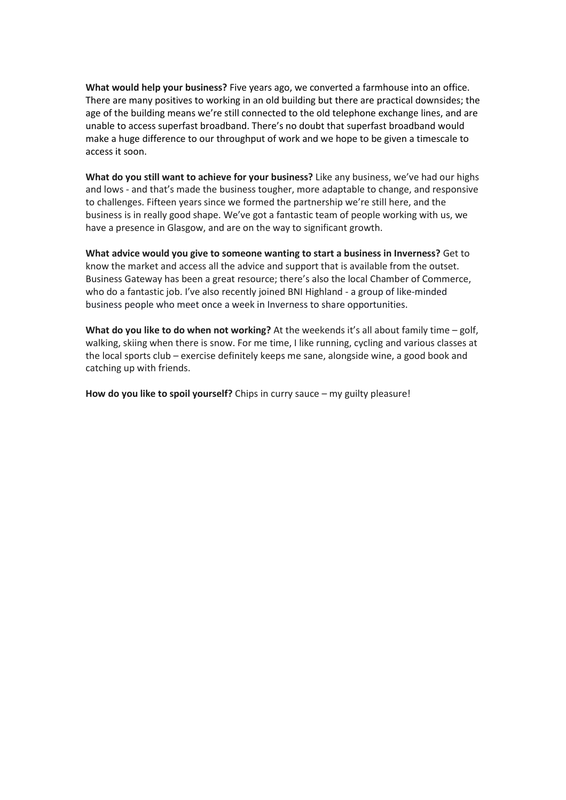**What would help your business?** Five years ago, we converted a farmhouse into an office. There are many positives to working in an old building but there are practical downsides; the age of the building means we're still connected to the old telephone exchange lines, and are unable to access superfast broadband. There's no doubt that superfast broadband would make a huge difference to our throughput of work and we hope to be given a timescale to access it soon.

**What do you still want to achieve for your business?** Like any business, we've had our highs and lows - and that's made the business tougher, more adaptable to change, and responsive to challenges. Fifteen years since we formed the partnership we're still here, and the business is in really good shape. We've got a fantastic team of people working with us, we have a presence in Glasgow, and are on the way to significant growth.

**What advice would you give to someone wanting to start a business in Inverness?** Get to know the market and access all the advice and support that is available from the outset. Business Gateway has been a great resource; there's also the local Chamber of Commerce, who do a fantastic job. I've also recently joined BNI Highland - a group of like-minded business people who meet once a week in Inverness to share opportunities.

**What do you like to do when not working?** At the weekends it's all about family time – golf, walking, skiing when there is snow. For me time, I like running, cycling and various classes at the local sports club – exercise definitely keeps me sane, alongside wine, a good book and catching up with friends.

**How do you like to spoil yourself?** Chips in curry sauce – my guilty pleasure!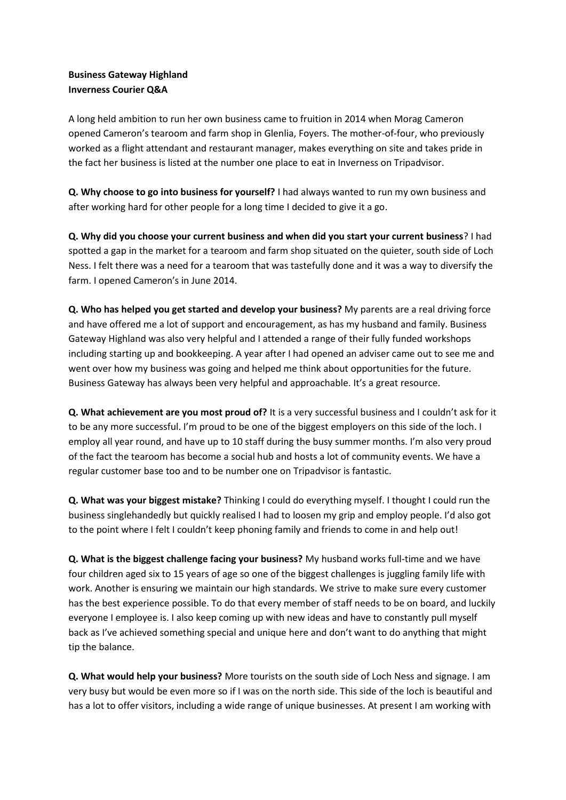### **Business Gateway Highland Inverness Courier Q&A**

A long held ambition to run her own business came to fruition in 2014 when Morag Cameron opened Cameron's tearoom and farm shop in Glenlia, Foyers. The mother-of-four, who previously worked as a flight attendant and restaurant manager, makes everything on site and takes pride in the fact her business is listed at the number one place to eat in Inverness on Tripadvisor.

**Q. Why choose to go into business for yourself?** I had always wanted to run my own business and after working hard for other people for a long time I decided to give it a go.

**Q. Why did you choose your current business and when did you start your current business**? I had spotted a gap in the market for a tearoom and farm shop situated on the quieter, south side of Loch Ness. I felt there was a need for a tearoom that was tastefully done and it was a way to diversify the farm. I opened Cameron's in June 2014.

**Q. Who has helped you get started and develop your business?** My parents are a real driving force and have offered me a lot of support and encouragement, as has my husband and family. Business Gateway Highland was also very helpful and I attended a range of their fully funded workshops including starting up and bookkeeping. A year after I had opened an adviser came out to see me and went over how my business was going and helped me think about opportunities for the future. Business Gateway has always been very helpful and approachable. It's a great resource.

**Q. What achievement are you most proud of?** It is a very successful business and I couldn't ask for it to be any more successful. I'm proud to be one of the biggest employers on this side of the loch. I employ all year round, and have up to 10 staff during the busy summer months. I'm also very proud of the fact the tearoom has become a social hub and hosts a lot of community events. We have a regular customer base too and to be number one on Tripadvisor is fantastic.

**Q. What was your biggest mistake?** Thinking I could do everything myself. I thought I could run the business singlehandedly but quickly realised I had to loosen my grip and employ people. I'd also got to the point where I felt I couldn't keep phoning family and friends to come in and help out!

**Q. What is the biggest challenge facing your business?** My husband works full-time and we have four children aged six to 15 years of age so one of the biggest challenges is juggling family life with work. Another is ensuring we maintain our high standards. We strive to make sure every customer has the best experience possible. To do that every member of staff needs to be on board, and luckily everyone I employee is. I also keep coming up with new ideas and have to constantly pull myself back as I've achieved something special and unique here and don't want to do anything that might tip the balance.

**Q. What would help your business?** More tourists on the south side of Loch Ness and signage. I am very busy but would be even more so if I was on the north side. This side of the loch is beautiful and has a lot to offer visitors, including a wide range of unique businesses. At present I am working with